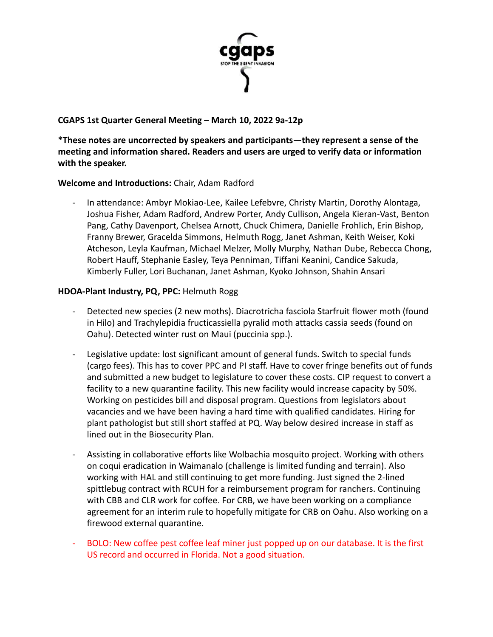

# **CGAPS 1st Quarter General Meeting – March 10, 2022 9a-12p**

**\*These notes are uncorrected by speakers and participants—they represent a sense of the meeting and information shared. Readers and users are urged to verify data or information with the speaker.**

### **Welcome and Introductions:** Chair, Adam Radford

In attendance: Ambyr Mokiao-Lee, Kailee Lefebvre, Christy Martin, Dorothy Alontaga, Joshua Fisher, Adam Radford, Andrew Porter, Andy Cullison, Angela Kieran-Vast, Benton Pang, Cathy Davenport, Chelsea Arnott, Chuck Chimera, Danielle Frohlich, Erin Bishop, Franny Brewer, Gracelda Simmons, Helmuth Rogg, Janet Ashman, Keith Weiser, Koki Atcheson, Leyla Kaufman, Michael Melzer, Molly Murphy, Nathan Dube, Rebecca Chong, Robert Hauff, Stephanie Easley, Teya Penniman, Tiffani Keanini, Candice Sakuda, Kimberly Fuller, Lori Buchanan, Janet Ashman, Kyoko Johnson, Shahin Ansari

### **HDOA-Plant Industry, PQ, PPC:** Helmuth Rogg

- Detected new species (2 new moths). Diacrotricha fasciola Starfruit flower moth (found in Hilo) and Trachylepidia fructicassiella pyralid moth attacks cassia seeds (found on Oahu). Detected winter rust on Maui (puccinia spp.).
- Legislative update: lost significant amount of general funds. Switch to special funds (cargo fees). This has to cover PPC and PI staff. Have to cover fringe benefits out of funds and submitted a new budget to legislature to cover these costs. CIP request to convert a facility to a new quarantine facility. This new facility would increase capacity by 50%. Working on pesticides bill and disposal program. Questions from legislators about vacancies and we have been having a hard time with qualified candidates. Hiring for plant pathologist but still short staffed at PQ. Way below desired increase in staff as lined out in the Biosecurity Plan.
- Assisting in collaborative efforts like Wolbachia mosquito project. Working with others on coqui eradication in Waimanalo (challenge is limited funding and terrain). Also working with HAL and still continuing to get more funding. Just signed the 2-lined spittlebug contract with RCUH for a reimbursement program for ranchers. Continuing with CBB and CLR work for coffee. For CRB, we have been working on a compliance agreement for an interim rule to hopefully mitigate for CRB on Oahu. Also working on a firewood external quarantine.
- BOLO: New coffee pest coffee leaf miner just popped up on our database. It is the first US record and occurred in Florida. Not a good situation.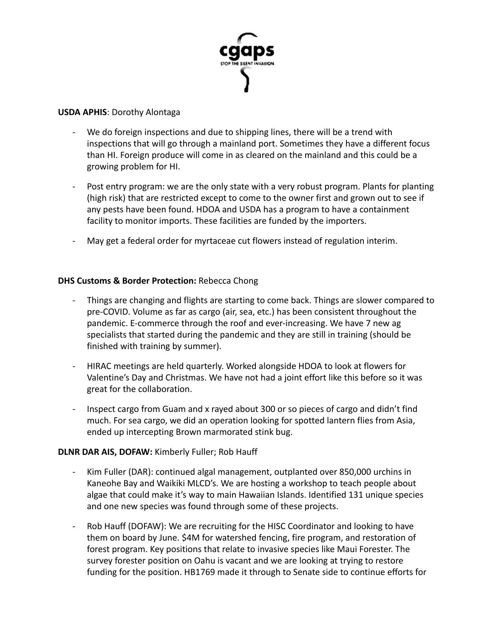

#### **USDA APHIS**: Dorothy Alontaga

- We do foreign inspections and due to shipping lines, there will be a trend with inspections that will go through a mainland port. Sometimes they have a different focus than HI. Foreign produce will come in as cleared on the mainland and this could be a growing problem for HI.
- Post entry program: we are the only state with a very robust program. Plants for planting (high risk) that are restricted except to come to the owner first and grown out to see if any pests have been found. HDOA and USDA has a program to have a containment facility to monitor imports. These facilities are funded by the importers.
- May get a federal order for myrtaceae cut flowers instead of regulation interim.

# **DHS Customs & Border Protection:** Rebecca Chong

- Things are changing and flights are starting to come back. Things are slower compared to pre-COVID. Volume as far as cargo (air, sea, etc.) has been consistent throughout the pandemic. E-commerce through the roof and ever-increasing. We have 7 new ag specialists that started during the pandemic and they are still in training (should be finished with training by summer).
- HIRAC meetings are held quarterly. Worked alongside HDOA to look at flowers for Valentine's Day and Christmas. We have not had a joint effort like this before so it was great for the collaboration.
- Inspect cargo from Guam and x rayed about 300 or so pieces of cargo and didn't find much. For sea cargo, we did an operation looking for spotted lantern flies from Asia, ended up intercepting Brown marmorated stink bug.

# **DLNR DAR AIS, DOFAW:** Kimberly Fuller; Rob Hauff

- Kim Fuller (DAR): continued algal management, outplanted over 850,000 urchins in Kaneohe Bay and Waikiki MLCD's. We are hosting a workshop to teach people about algae that could make it's way to main Hawaiian Islands. Identified 131 unique species and one new species was found through some of these projects.
- Rob Hauff (DOFAW): We are recruiting for the HISC Coordinator and looking to have them on board by June. \$4M for watershed fencing, fire program, and restoration of forest program. Key positions that relate to invasive species like Maui Forester. The survey forester position on Oahu is vacant and we are looking at trying to restore funding for the position. HB1769 made it through to Senate side to continue efforts for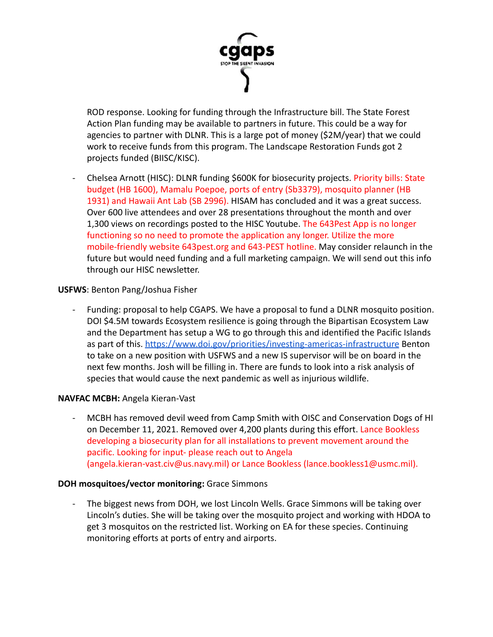

ROD response. Looking for funding through the Infrastructure bill. The State Forest Action Plan funding may be available to partners in future. This could be a way for agencies to partner with DLNR. This is a large pot of money (\$2M/year) that we could work to receive funds from this program. The Landscape Restoration Funds got 2 projects funded (BIISC/KISC).

- Chelsea Arnott (HISC): DLNR funding \$600K for biosecurity projects. Priority bills: State budget (HB 1600), Mamalu Poepoe, ports of entry (Sb3379), mosquito planner (HB 1931) and Hawaii Ant Lab (SB 2996). HISAM has concluded and it was a great success. Over 600 live attendees and over 28 presentations throughout the month and over 1,300 views on recordings posted to the HISC Youtube. The 643Pest App is no longer functioning so no need to promote the application any longer. Utilize the more mobile-friendly website 643pest.org and 643-PEST hotline. May consider relaunch in the future but would need funding and a full marketing campaign. We will send out this info through our HISC newsletter.

### **USFWS**: Benton Pang/Joshua Fisher

Funding: proposal to help CGAPS. We have a proposal to fund a DLNR mosquito position. DOI \$4.5M towards Ecosystem resilience is going through the Bipartisan Ecosystem Law and the Department has setup a WG to go through this and identified the Pacific Islands as part of this. <https://www.doi.gov/priorities/investing-americas-infrastructure> Benton to take on a new position with USFWS and a new IS supervisor will be on board in the next few months. Josh will be filling in. There are funds to look into a risk analysis of species that would cause the next pandemic as well as injurious wildlife.

#### **NAVFAC MCBH:** Angela Kieran-Vast

- MCBH has removed devil weed from Camp Smith with OISC and Conservation Dogs of HI on December 11, 2021. Removed over 4,200 plants during this effort. Lance Bookless developing a biosecurity plan for all installations to prevent movement around the pacific. Looking for input- please reach out to Angela (angela.kieran-vast.civ@us.navy.mil) or Lance Bookless (lance.bookless1@usmc.mil).

#### **DOH mosquitoes/vector monitoring:** Grace Simmons

The biggest news from DOH, we lost Lincoln Wells. Grace Simmons will be taking over Lincoln's duties. She will be taking over the mosquito project and working with HDOA to get 3 mosquitos on the restricted list. Working on EA for these species. Continuing monitoring efforts at ports of entry and airports.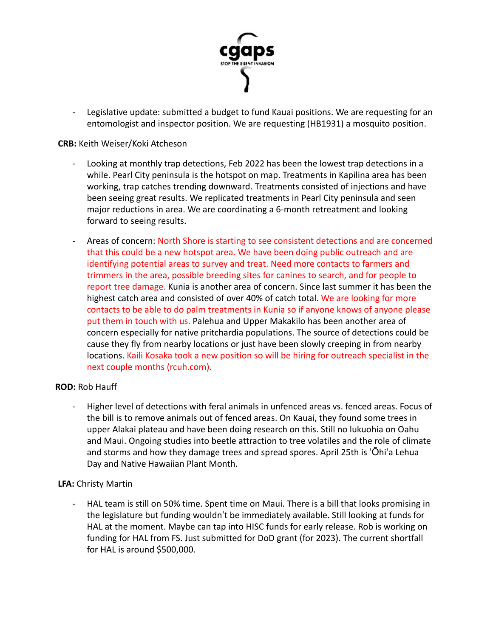

- Legislative update: submitted a budget to fund Kauai positions. We are requesting for an entomologist and inspector position. We are requesting (HB1931) a mosquito position.

#### **CRB:** Keith Weiser/Koki Atcheson

- Looking at monthly trap detections, Feb 2022 has been the lowest trap detections in a while. Pearl City peninsula is the hotspot on map. Treatments in Kapilina area has been working, trap catches trending downward. Treatments consisted of injections and have been seeing great results. We replicated treatments in Pearl City peninsula and seen major reductions in area. We are coordinating a 6-month retreatment and looking forward to seeing results.
- Areas of concern: North Shore is starting to see consistent detections and are concerned that this could be a new hotspot area. We have been doing public outreach and are identifying potential areas to survey and treat. Need more contacts to farmers and trimmers in the area, possible breeding sites for canines to search, and for people to report tree damage. Kunia is another area of concern. Since last summer it has been the highest catch area and consisted of over 40% of catch total. We are looking for more contacts to be able to do palm treatments in Kunia so if anyone knows of anyone please put them in touch with us. Palehua and Upper Makakilo has been another area of concern especially for native pritchardia populations. The source of detections could be cause they fly from nearby locations or just have been slowly creeping in from nearby locations. Kaili Kosaka took a new position so will be hiring for outreach specialist in the next couple months (rcuh.com).

#### **ROD:** Rob Hauff

Higher level of detections with feral animals in unfenced areas vs. fenced areas. Focus of the bill is to remove animals out of fenced areas. On Kauai, they found some trees in upper Alakai plateau and have been doing research on this. Still no lukuohia on Oahu and Maui. Ongoing studies into beetle attraction to tree volatiles and the role of climate and storms and how they damage trees and spread spores. April 25th is ʻŌhiʻa Lehua Day and Native Hawaiian Plant Month.

# **LFA:** Christy Martin

HAL team is still on 50% time. Spent time on Maui. There is a bill that looks promising in the legislature but funding wouldnʻt be immediately available. Still looking at funds for HAL at the moment. Maybe can tap into HISC funds for early release. Rob is working on funding for HAL from FS. Just submitted for DoD grant (for 2023). The current shortfall for HAL is around \$500,000.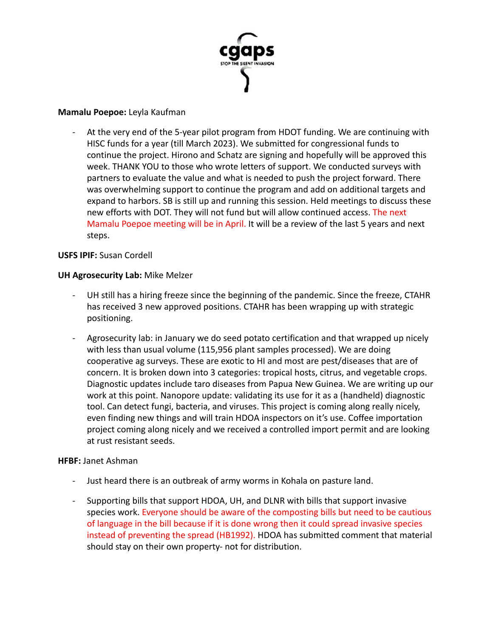

### **Mamalu Poepoe:** Leyla Kaufman

At the very end of the 5-year pilot program from HDOT funding. We are continuing with HISC funds for a year (till March 2023). We submitted for congressional funds to continue the project. Hirono and Schatz are signing and hopefully will be approved this week. THANK YOU to those who wrote letters of support. We conducted surveys with partners to evaluate the value and what is needed to push the project forward. There was overwhelming support to continue the program and add on additional targets and expand to harbors. SB is still up and running this session. Held meetings to discuss these new efforts with DOT. They will not fund but will allow continued access. The next Mamalu Poepoe meeting will be in April. It will be a review of the last 5 years and next steps.

### **USFS IPIF:** Susan Cordell

### **UH Agrosecurity Lab:** Mike Melzer

- UH still has a hiring freeze since the beginning of the pandemic. Since the freeze, CTAHR has received 3 new approved positions. CTAHR has been wrapping up with strategic positioning.
- Agrosecurity lab: in January we do seed potato certification and that wrapped up nicely with less than usual volume (115,956 plant samples processed). We are doing cooperative ag surveys. These are exotic to HI and most are pest/diseases that are of concern. It is broken down into 3 categories: tropical hosts, citrus, and vegetable crops. Diagnostic updates include taro diseases from Papua New Guinea. We are writing up our work at this point. Nanopore update: validating its use for it as a (handheld) diagnostic tool. Can detect fungi, bacteria, and viruses. This project is coming along really nicely, even finding new things and will train HDOA inspectors on it's use. Coffee importation project coming along nicely and we received a controlled import permit and are looking at rust resistant seeds.

#### **HFBF:** Janet Ashman

- Just heard there is an outbreak of army worms in Kohala on pasture land.
- Supporting bills that support HDOA, UH, and DLNR with bills that support invasive species work. Everyone should be aware of the composting bills but need to be cautious of language in the bill because if it is done wrong then it could spread invasive species instead of preventing the spread (HB1992). HDOA has submitted comment that material should stay on their own property- not for distribution.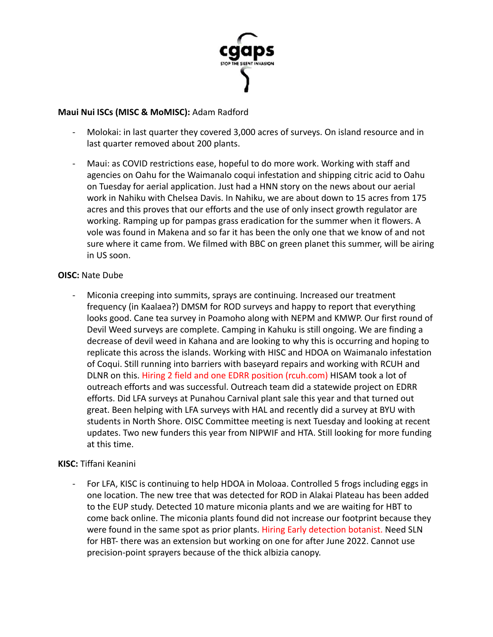

### **Maui Nui ISCs (MISC & MoMISC):** Adam Radford

- Molokai: in last quarter they covered 3,000 acres of surveys. On island resource and in last quarter removed about 200 plants.
- Maui: as COVID restrictions ease, hopeful to do more work. Working with staff and agencies on Oahu for the Waimanalo coqui infestation and shipping citric acid to Oahu on Tuesday for aerial application. Just had a HNN story on the news about our aerial work in Nahiku with Chelsea Davis. In Nahiku, we are about down to 15 acres from 175 acres and this proves that our efforts and the use of only insect growth regulator are working. Ramping up for pampas grass eradication for the summer when it flowers. A vole was found in Makena and so far it has been the only one that we know of and not sure where it came from. We filmed with BBC on green planet this summer, will be airing in US soon.

### **OISC:** Nate Dube

- Miconia creeping into summits, sprays are continuing. Increased our treatment frequency (in Kaalaea?) DMSM for ROD surveys and happy to report that everything looks good. Cane tea survey in Poamoho along with NEPM and KMWP. Our first round of Devil Weed surveys are complete. Camping in Kahuku is still ongoing. We are finding a decrease of devil weed in Kahana and are looking to why this is occurring and hoping to replicate this across the islands. Working with HISC and HDOA on Waimanalo infestation of Coqui. Still running into barriers with baseyard repairs and working with RCUH and DLNR on this. Hiring 2 field and one EDRR position (rcuh.com) HISAM took a lot of outreach efforts and was successful. Outreach team did a statewide project on EDRR efforts. Did LFA surveys at Punahou Carnival plant sale this year and that turned out great. Been helping with LFA surveys with HAL and recently did a survey at BYU with students in North Shore. OISC Committee meeting is next Tuesday and looking at recent updates. Two new funders this year from NIPWIF and HTA. Still looking for more funding at this time.

# **KISC:** Tiffani Keanini

- For LFA, KISC is continuing to help HDOA in Moloaa. Controlled 5 frogs including eggs in one location. The new tree that was detected for ROD in Alakai Plateau has been added to the EUP study. Detected 10 mature miconia plants and we are waiting for HBT to come back online. The miconia plants found did not increase our footprint because they were found in the same spot as prior plants. Hiring Early detection botanist. Need SLN for HBT- there was an extension but working on one for after June 2022. Cannot use precision-point sprayers because of the thick albizia canopy.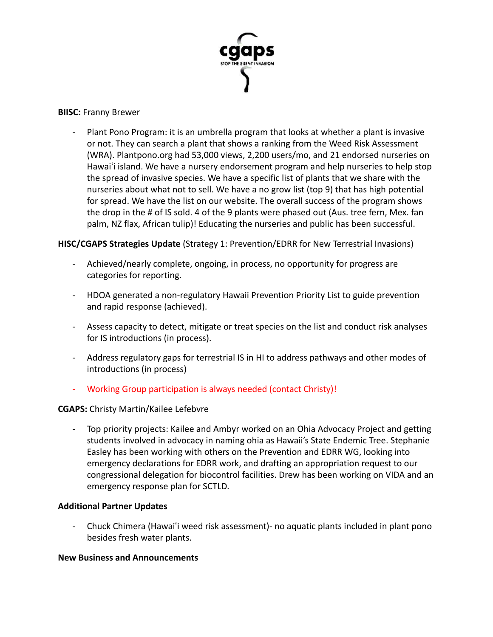

#### **BIISC:** Franny Brewer

Plant Pono Program: it is an umbrella program that looks at whether a plant is invasive or not. They can search a plant that shows a ranking from the Weed Risk Assessment (WRA). Plantpono.org had 53,000 views, 2,200 users/mo, and 21 endorsed nurseries on Hawaiʻi island. We have a nursery endorsement program and help nurseries to help stop the spread of invasive species. We have a specific list of plants that we share with the nurseries about what not to sell. We have a no grow list (top 9) that has high potential for spread. We have the list on our website. The overall success of the program shows the drop in the # of IS sold. 4 of the 9 plants were phased out (Aus. tree fern, Mex. fan palm, NZ flax, African tulip)! Educating the nurseries and public has been successful.

# **HISC/CGAPS Strategies Update** (Strategy 1: Prevention/EDRR for New Terrestrial Invasions)

- Achieved/nearly complete, ongoing, in process, no opportunity for progress are categories for reporting.
- HDOA generated a non-regulatory Hawaii Prevention Priority List to guide prevention and rapid response (achieved).
- Assess capacity to detect, mitigate or treat species on the list and conduct risk analyses for IS introductions (in process).
- Address regulatory gaps for terrestrial IS in HI to address pathways and other modes of introductions (in process)
- Working Group participation is always needed (contact Christy)!

# **CGAPS:** Christy Martin/Kailee Lefebvre

- Top priority projects: Kailee and Ambyr worked on an Ohia Advocacy Project and getting students involved in advocacy in naming ohia as Hawaii's State Endemic Tree. Stephanie Easley has been working with others on the Prevention and EDRR WG, looking into emergency declarations for EDRR work, and drafting an appropriation request to our congressional delegation for biocontrol facilities. Drew has been working on VIDA and an emergency response plan for SCTLD.

# **Additional Partner Updates**

- Chuck Chimera (Hawaiʻi weed risk assessment)- no aquatic plants included in plant pono besides fresh water plants.

# **New Business and Announcements**